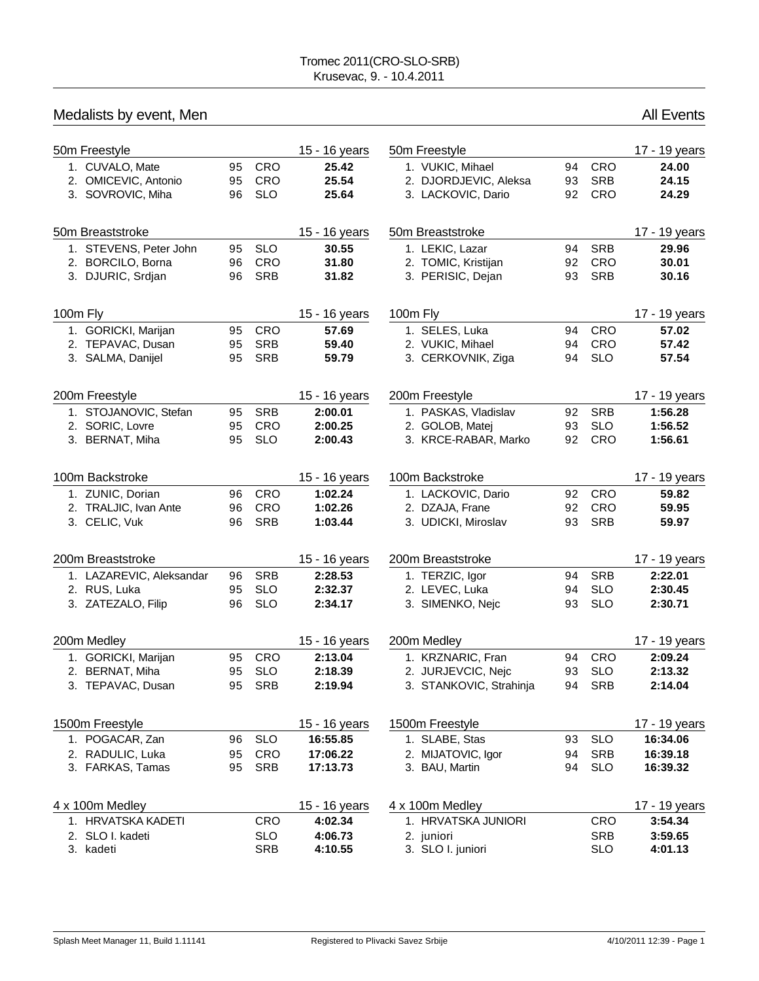| Medalists by event, Men  |    |            |               |                         |    |            | <b>All Events</b> |
|--------------------------|----|------------|---------------|-------------------------|----|------------|-------------------|
| 50m Freestyle            |    |            | 15 - 16 years | 50m Freestyle           |    |            | 17 - 19 years     |
| 1. CUVALO, Mate          | 95 | CRO        | 25.42         | 1. VUKIC, Mihael        | 94 | CRO        | 24.00             |
| 2. OMICEVIC, Antonio     | 95 | CRO        | 25.54         | 2. DJORDJEVIC, Aleksa   | 93 | <b>SRB</b> | 24.15             |
| 3. SOVROVIC, Miha        | 96 | <b>SLO</b> | 25.64         | 3. LACKOVIC, Dario      | 92 | <b>CRO</b> | 24.29             |
| 50m Breaststroke         |    |            | 15 - 16 years | 50m Breaststroke        |    |            | 17 - 19 years     |
| 1. STEVENS, Peter John   | 95 | <b>SLO</b> | 30.55         | 1. LEKIC, Lazar         | 94 | <b>SRB</b> | 29.96             |
| 2. BORCILO, Borna        | 96 | CRO        | 31.80         | 2. TOMIC, Kristijan     | 92 | CRO        | 30.01             |
| 3. DJURIC, Srdjan        | 96 | <b>SRB</b> | 31.82         | 3. PERISIC, Dejan       | 93 | <b>SRB</b> | 30.16             |
| 100m Fly                 |    |            | 15 - 16 years | 100m Fly                |    |            | 17 - 19 years     |
| 1. GORICKI, Marijan      | 95 | CRO        | 57.69         | 1. SELES, Luka          | 94 | CRO        | 57.02             |
| 2. TEPAVAC, Dusan        | 95 | <b>SRB</b> | 59.40         | 2. VUKIC, Mihael        | 94 | CRO        | 57.42             |
| 3. SALMA, Danijel        | 95 | <b>SRB</b> | 59.79         | 3. CERKOVNIK, Ziga      | 94 | <b>SLO</b> | 57.54             |
| 200m Freestyle           |    |            | 15 - 16 years | 200m Freestyle          |    |            | 17 - 19 years     |
| 1. STOJANOVIC, Stefan    | 95 | <b>SRB</b> | 2:00.01       | 1. PASKAS, Vladislav    | 92 | <b>SRB</b> | 1:56.28           |
| 2. SORIC, Lovre          | 95 | <b>CRO</b> | 2:00.25       | 2. GOLOB, Matej         | 93 | <b>SLO</b> | 1:56.52           |
| 3. BERNAT, Miha          | 95 | <b>SLO</b> | 2:00.43       | 3. KRCE-RABAR, Marko    | 92 | CRO        | 1:56.61           |
| 100m Backstroke          |    |            | 15 - 16 years | 100m Backstroke         |    |            | 17 - 19 years     |
| 1. ZUNIC, Dorian         | 96 | CRO        | 1:02.24       | 1. LACKOVIC, Dario      | 92 | CRO        | 59.82             |
| 2. TRALJIC, Ivan Ante    | 96 | <b>CRO</b> | 1:02.26       | 2. DZAJA, Frane         | 92 | <b>CRO</b> | 59.95             |
| 3. CELIC, Vuk            | 96 | <b>SRB</b> | 1:03.44       | 3. UDICKI, Miroslav     | 93 | <b>SRB</b> | 59.97             |
| 200m Breaststroke        |    |            | 15 - 16 years | 200m Breaststroke       |    |            | 17 - 19 years     |
| 1. LAZAREVIC, Aleksandar | 96 | <b>SRB</b> | 2:28.53       | 1. TERZIC, Igor         | 94 | <b>SRB</b> | 2:22.01           |
| 2. RUS, Luka             | 95 | <b>SLO</b> | 2:32.37       | 2. LEVEC, Luka          | 94 | <b>SLO</b> | 2:30.45           |
| 3. ZATEZALO, Filip       | 96 | <b>SLO</b> | 2:34.17       | 3. SIMENKO, Nejc        | 93 | <b>SLO</b> | 2:30.71           |
| 200m Medley              |    |            | 15 - 16 years | 200m Medley             |    |            | 17 - 19 years     |
| 1. GORICKI, Marijan      |    | 95 CRO     | 2:13.04       | 1. KRZNARIC, Fran       | 94 | CRO        | 2:09.24           |
| 2. BERNAT, Miha          | 95 | <b>SLO</b> | 2:18.39       | 2. JURJEVCIC, Nejc      | 93 | <b>SLO</b> | 2:13.32           |
| 3. TEPAVAC, Dusan        | 95 | SRB        | 2:19.94       | 3. STANKOVIC, Strahinja | 94 | <b>SRB</b> | 2:14.04           |
| 1500m Freestyle          |    |            | 15 - 16 years | 1500m Freestyle         |    |            | 17 - 19 years     |
| 1. POGACAR, Zan          | 96 | <b>SLO</b> | 16:55.85      | 1. SLABE, Stas          | 93 | <b>SLO</b> | 16:34.06          |
| 2. RADULIC, Luka         | 95 | CRO        | 17:06.22      | 2. MIJATOVIC, Igor      | 94 | <b>SRB</b> | 16:39.18          |
| 3. FARKAS, Tamas         | 95 | <b>SRB</b> | 17:13.73      | 3. BAU, Martin          | 94 | <b>SLO</b> | 16:39.32          |
| 4 x 100m Medley          |    |            | 15 - 16 years | 4 x 100m Medley         |    |            | 17 - 19 years     |
| 1. HRVATSKA KADETI       |    | <b>CRO</b> | 4:02.34       | 1. HRVATSKA JUNIORI     |    | CRO        | 3:54.34           |
| 2. SLO I. kadeti         |    | <b>SLO</b> | 4:06.73       | 2. juniori              |    | <b>SRB</b> | 3:59.65           |
| 3. kadeti                |    | SRB        | 4:10.55       | 3. SLO I. juniori       |    | <b>SLO</b> | 4:01.13           |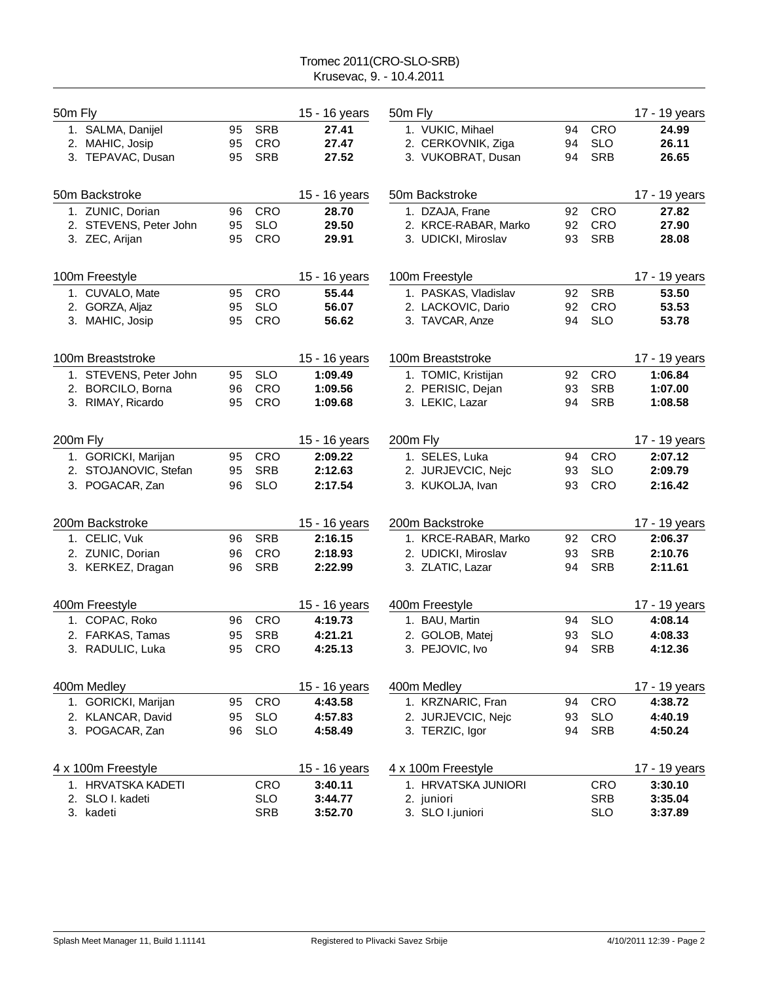## Tromec 2011(CRO-SLO-SRB) Krusevac, 9. - 10.4.2011

| 50m Fly  |                        |    |            | 15 - 16 years | 50m Fly              |    |            | 17 - 19 years |
|----------|------------------------|----|------------|---------------|----------------------|----|------------|---------------|
|          | 1. SALMA, Danijel      | 95 | <b>SRB</b> | 27.41         | 1. VUKIC, Mihael     | 94 | <b>CRO</b> | 24.99         |
|          | 2. MAHIC, Josip        | 95 | <b>CRO</b> | 27.47         | 2. CERKOVNIK, Ziga   | 94 | <b>SLO</b> | 26.11         |
|          | 3. TEPAVAC, Dusan      | 95 | <b>SRB</b> | 27.52         | 3. VUKOBRAT, Dusan   | 94 | <b>SRB</b> | 26.65         |
|          | 50m Backstroke         |    |            | 15 - 16 years | 50m Backstroke       |    |            | 17 - 19 years |
|          | 1. ZUNIC, Dorian       | 96 | <b>CRO</b> | 28.70         | 1. DZAJA, Frane      | 92 | <b>CRO</b> | 27.82         |
|          | 2. STEVENS, Peter John | 95 | <b>SLO</b> | 29.50         | 2. KRCE-RABAR, Marko | 92 | <b>CRO</b> | 27.90         |
|          | 3. ZEC, Arijan         | 95 | <b>CRO</b> | 29.91         | 3. UDICKI, Miroslav  | 93 | <b>SRB</b> | 28.08         |
|          | 100m Freestyle         |    |            | 15 - 16 years | 100m Freestyle       |    |            | 17 - 19 years |
|          | 1. CUVALO, Mate        | 95 | <b>CRO</b> | 55.44         | 1. PASKAS, Vladislav | 92 | <b>SRB</b> | 53.50         |
|          | 2. GORZA, Aljaz        | 95 | <b>SLO</b> | 56.07         | 2. LACKOVIC, Dario   | 92 | <b>CRO</b> | 53.53         |
|          | 3. MAHIC, Josip        | 95 | CRO        | 56.62         | 3. TAVCAR, Anze      | 94 | <b>SLO</b> | 53.78         |
|          | 100m Breaststroke      |    |            | 15 - 16 years | 100m Breaststroke    |    |            | 17 - 19 years |
|          | 1. STEVENS, Peter John | 95 | <b>SLO</b> | 1:09.49       | 1. TOMIC, Kristijan  | 92 | <b>CRO</b> | 1:06.84       |
|          | 2. BORCILO, Borna      | 96 | CRO        | 1:09.56       | 2. PERISIC, Dejan    | 93 | <b>SRB</b> | 1:07.00       |
|          | 3. RIMAY, Ricardo      | 95 | <b>CRO</b> | 1:09.68       | 3. LEKIC, Lazar      | 94 | <b>SRB</b> | 1:08.58       |
| 200m Fly |                        |    |            | 15 - 16 years | 200m Fly             |    |            | 17 - 19 years |
|          | 1. GORICKI, Marijan    | 95 | <b>CRO</b> | 2:09.22       | 1. SELES, Luka       | 94 | <b>CRO</b> | 2:07.12       |
|          | 2. STOJANOVIC, Stefan  | 95 | <b>SRB</b> | 2:12.63       | 2. JURJEVCIC, Nejc   | 93 | <b>SLO</b> | 2:09.79       |
|          | 3. POGACAR, Zan        | 96 | <b>SLO</b> | 2:17.54       | 3. KUKOLJA, Ivan     | 93 | CRO        | 2:16.42       |
|          | 200m Backstroke        |    |            | 15 - 16 years | 200m Backstroke      |    |            | 17 - 19 years |
|          | 1. CELIC, Vuk          | 96 | <b>SRB</b> | 2:16.15       | 1. KRCE-RABAR, Marko | 92 | <b>CRO</b> | 2:06.37       |
|          | 2. ZUNIC, Dorian       | 96 | <b>CRO</b> | 2:18.93       | 2. UDICKI, Miroslav  | 93 | <b>SRB</b> | 2:10.76       |
|          | 3. KERKEZ, Dragan      | 96 | <b>SRB</b> | 2:22.99       | 3. ZLATIC, Lazar     | 94 | <b>SRB</b> | 2:11.61       |
|          | 400m Freestyle         |    |            | 15 - 16 years | 400m Freestyle       |    |            | 17 - 19 years |
|          | 1. COPAC, Roko         | 96 | <b>CRO</b> | 4:19.73       | 1. BAU, Martin       | 94 | <b>SLO</b> | 4:08.14       |
|          | 2. FARKAS, Tamas       | 95 | <b>SRB</b> | 4:21.21       | 2. GOLOB, Matej      | 93 | <b>SLO</b> | 4:08.33       |
|          | 3. RADULIC, Luka       | 95 | CRO        | 4:25.13       | 3. PEJOVIC, Ivo      | 94 | <b>SRB</b> | 4:12.36       |
|          | 400m Medley            |    |            | 15 - 16 years | 400m Medley          |    |            | 17 - 19 years |
|          | 1. GORICKI, Marijan    | 95 | CRO        | 4:43.58       | 1. KRZNARIC, Fran    | 94 | <b>CRO</b> | 4:38.72       |
|          | 2. KLANCAR, David      | 95 | <b>SLO</b> | 4:57.83       | 2. JURJEVCIC, Nejc   | 93 | <b>SLO</b> | 4:40.19       |
|          | 3. POGACAR, Zan        | 96 | <b>SLO</b> | 4:58.49       | 3. TERZIC, Igor      | 94 | <b>SRB</b> | 4:50.24       |
|          | 4 x 100m Freestyle     |    |            | 15 - 16 years | 4 x 100m Freestyle   |    |            | 17 - 19 years |
|          | 1. HRVATSKA KADETI     |    | CRO        | 3:40.11       | 1. HRVATSKA JUNIORI  |    | <b>CRO</b> | 3:30.10       |
|          | 2. SLO I. kadeti       |    | <b>SLO</b> | 3:44.77       | 2. juniori           |    | <b>SRB</b> | 3:35.04       |
|          | 3. kadeti              |    | SRB        | 3:52.70       | 3. SLO I.juniori     |    | <b>SLO</b> | 3:37.89       |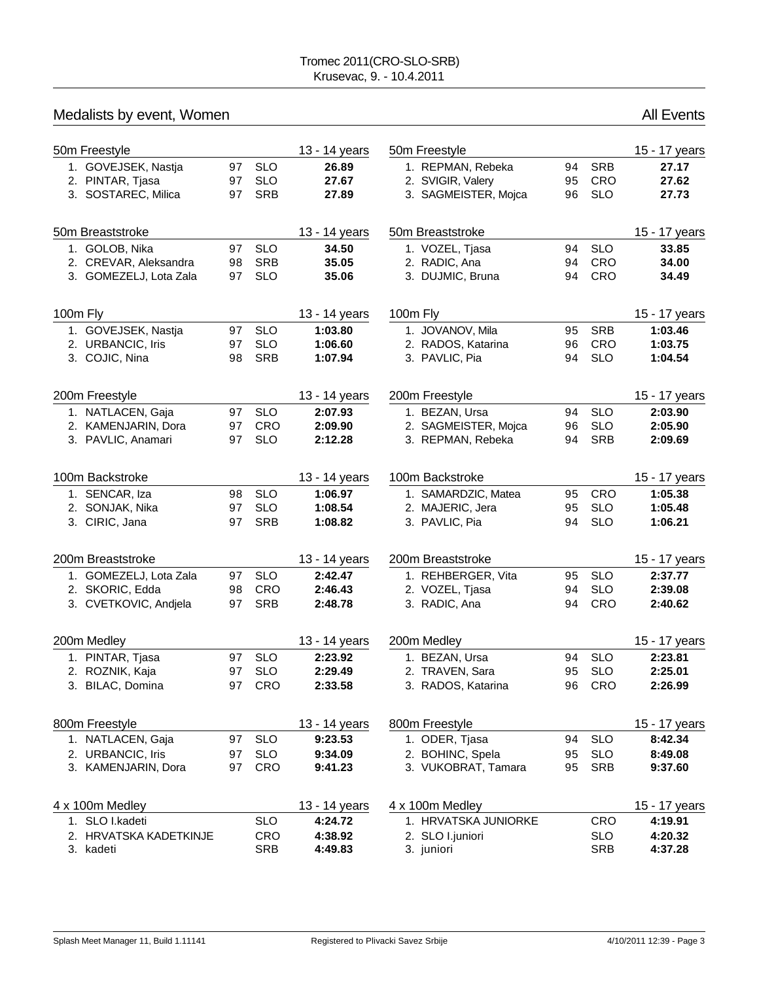|          | Medalists by event, Women               |          |                          |                |                                        |          |                          | <b>All Events</b> |
|----------|-----------------------------------------|----------|--------------------------|----------------|----------------------------------------|----------|--------------------------|-------------------|
|          | 50m Freestyle                           |          |                          | 13 - 14 years  | 50m Freestyle                          |          |                          | 15 - 17 years     |
|          | 1. GOVEJSEK, Nastja<br>2. PINTAR, Tjasa | 97<br>97 | <b>SLO</b><br><b>SLO</b> | 26.89<br>27.67 | 1. REPMAN, Rebeka<br>2. SVIGIR, Valery | 94<br>95 | <b>SRB</b><br><b>CRO</b> | 27.17<br>27.62    |
|          | 3. SOSTAREC, Milica                     | 97       | <b>SRB</b>               | 27.89          | 3. SAGMEISTER, Mojca                   | 96       | <b>SLO</b>               | 27.73             |
|          | 50m Breaststroke                        |          |                          | 13 - 14 years  | 50m Breaststroke                       |          |                          | 15 - 17 years     |
|          | 1. GOLOB, Nika                          | 97       | <b>SLO</b>               | 34.50          | 1. VOZEL, Tjasa                        | 94       | <b>SLO</b>               | 33.85             |
|          | 2. CREVAR, Aleksandra                   | 98       | <b>SRB</b>               | 35.05          | 2. RADIC, Ana                          | 94       | <b>CRO</b>               | 34.00             |
|          | 3. GOMEZELJ, Lota Zala                  | 97       | <b>SLO</b>               | 35.06          | 3. DUJMIC, Bruna                       | 94       | <b>CRO</b>               | 34.49             |
| 100m Fly |                                         |          |                          | 13 - 14 years  | 100m Fly                               |          |                          | 15 - 17 years     |
|          | 1. GOVEJSEK, Nastja                     | 97       | <b>SLO</b>               | 1:03.80        | 1. JOVANOV, Mila                       | 95       | <b>SRB</b>               | 1:03.46           |
|          | 2. URBANCIC, Iris                       | 97       | <b>SLO</b>               | 1:06.60        | 2. RADOS, Katarina                     | 96       | <b>CRO</b>               | 1:03.75           |
|          | 3. COJIC, Nina                          | 98       | <b>SRB</b>               | 1:07.94        | 3. PAVLIC, Pia                         | 94       | <b>SLO</b>               | 1:04.54           |
|          | 200m Freestyle                          |          |                          | 13 - 14 years  | 200m Freestyle                         |          |                          | 15 - 17 years     |
|          | 1. NATLACEN, Gaja                       | 97       | <b>SLO</b>               | 2:07.93        | 1. BEZAN, Ursa                         | 94       | <b>SLO</b>               | 2:03.90           |
|          | 2. KAMENJARIN, Dora                     | 97       | <b>CRO</b>               | 2:09.90        | 2. SAGMEISTER, Mojca                   | 96       | <b>SLO</b>               | 2:05.90           |
|          | 3. PAVLIC, Anamari                      | 97       | <b>SLO</b>               | 2:12.28        | 3. REPMAN, Rebeka                      | 94       | <b>SRB</b>               | 2:09.69           |
|          | 100m Backstroke                         |          |                          | 13 - 14 years  | 100m Backstroke                        |          |                          | 15 - 17 years     |
|          | 1. SENCAR, Iza                          | 98       | <b>SLO</b>               | 1:06.97        | 1. SAMARDZIC, Matea                    | 95       | <b>CRO</b>               | 1:05.38           |
|          | 2. SONJAK, Nika                         | 97       | <b>SLO</b>               | 1:08.54        | 2. MAJERIC, Jera                       | 95       | <b>SLO</b>               | 1:05.48           |
|          | 3. CIRIC, Jana                          | 97       | <b>SRB</b>               | 1:08.82        | 3. PAVLIC, Pia                         | 94       | <b>SLO</b>               | 1:06.21           |
|          | 200m Breaststroke                       |          |                          | 13 - 14 years  | 200m Breaststroke                      |          |                          | 15 - 17 years     |
|          | 1. GOMEZELJ, Lota Zala                  | 97       | <b>SLO</b>               | 2:42.47        | 1. REHBERGER, Vita                     | 95       | <b>SLO</b>               | 2:37.77           |
|          | 2. SKORIC, Edda                         | 98       | <b>CRO</b>               | 2:46.43        | 2. VOZEL, Tjasa                        | 94       | <b>SLO</b>               | 2:39.08           |
|          | 3. CVETKOVIC, Andjela                   | 97       | <b>SRB</b>               | 2:48.78        | 3. RADIC, Ana                          | 94       | <b>CRO</b>               | 2:40.62           |
|          | 200m Medley                             |          |                          | 13 - 14 years  | 200m Medley                            |          |                          | 15 - 17 years     |
| 1.       | PINTAR, Tjasa                           | 97       | <b>SLO</b>               | 2:23.92        | 1. BEZAN, Ursa                         | 94       | <b>SLO</b>               | 2:23.81           |
|          | 2. ROZNIK, Kaja                         | 97       | <b>SLO</b>               | 2:29.49        | 2. TRAVEN, Sara                        | 95       | <b>SLO</b>               | 2:25.01           |
|          | 3. BILAC, Domina                        | 97       | CRO                      | 2:33.58        | 3. RADOS, Katarina                     | 96       | CRO                      | 2:26.99           |
|          | 800m Freestyle                          |          |                          | 13 - 14 years  | 800m Freestyle                         |          |                          | 15 - 17 years     |
|          | 1. NATLACEN, Gaja                       | 97       | <b>SLO</b>               | 9:23.53        | 1. ODER, Tjasa                         | 94       | <b>SLO</b>               | 8:42.34           |
|          | 2. URBANCIC, Iris                       | 97       | <b>SLO</b>               | 9:34.09        | 2. BOHINC, Spela                       | 95       | <b>SLO</b>               | 8:49.08           |
|          | 3. KAMENJARIN, Dora                     | 97       | CRO                      | 9:41.23        | 3. VUKOBRAT, Tamara                    | 95       | <b>SRB</b>               | 9:37.60           |
|          | 4 x 100m Medley                         |          |                          | 13 - 14 years  | 4 x 100m Medley                        |          |                          | 15 - 17 years     |
|          | 1. SLO I.kadeti                         |          | <b>SLO</b>               | 4:24.72        | 1. HRVATSKA JUNIORKE                   |          | CRO                      | 4:19.91           |
|          | 2. HRVATSKA KADETKINJE                  |          | <b>CRO</b>               | 4:38.92        | 2. SLO I.juniori                       |          | <b>SLO</b>               | 4:20.32           |
|          | 3. kadeti                               |          | <b>SRB</b>               | 4:49.83        | 3. juniori                             |          | <b>SRB</b>               | 4:37.28           |